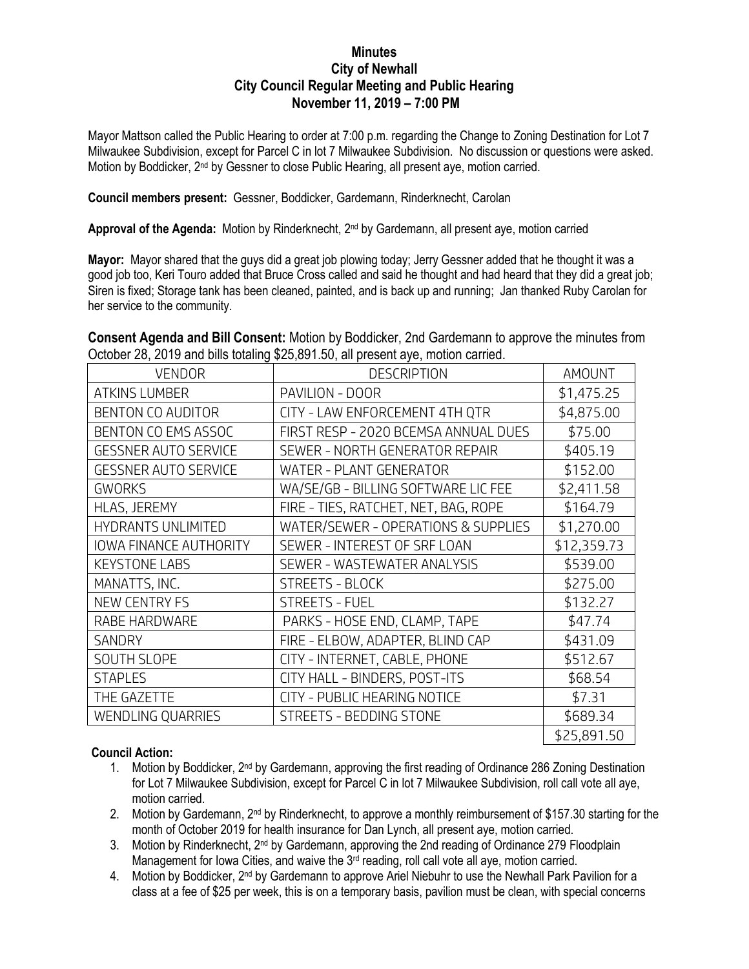## **Minutes City of Newhall City Council Regular Meeting and Public Hearing November 11, 2019 – 7:00 PM**

Mayor Mattson called the Public Hearing to order at 7:00 p.m. regarding the Change to Zoning Destination for Lot 7 Milwaukee Subdivision, except for Parcel C in lot 7 Milwaukee Subdivision. No discussion or questions were asked. Motion by Boddicker, 2<sup>nd</sup> by Gessner to close Public Hearing, all present aye, motion carried.

**Council members present:** Gessner, Boddicker, Gardemann, Rinderknecht, Carolan

Approval of the Agenda: Motion by Rinderknecht, 2<sup>nd</sup> by Gardemann, all present aye, motion carried

**Mayor:** Mayor shared that the guys did a great job plowing today; Jerry Gessner added that he thought it was a good job too, Keri Touro added that Bruce Cross called and said he thought and had heard that they did a great job; Siren is fixed; Storage tank has been cleaned, painted, and is back up and running; Jan thanked Ruby Carolan for her service to the community.

**Consent Agenda and Bill Consent:** Motion by Boddicker, 2nd Gardemann to approve the minutes from October 28, 2019 and bills totaling \$25,891.50, all present aye, motion carried.

| <b>VENDOR</b>                 | <b>DESCRIPTION</b>                   | <b>AMOUNT</b> |
|-------------------------------|--------------------------------------|---------------|
| <b>ATKINS LUMBER</b>          | PAVILION - DOOR                      | \$1,475.25    |
| BENTON CO AUDITOR             | CITY - LAW ENFORCEMENT 4TH QTR       | \$4,875.00    |
| BENTON CO EMS ASSOC           | FIRST RESP - 2020 BCEMSA ANNUAL DUES | \$75.00       |
| <b>GESSNER AUTO SERVICE</b>   | SEWER - NORTH GENERATOR REPAIR       | \$405.19      |
| <b>GESSNER AUTO SERVICE</b>   | WATER - PLANT GENERATOR              | \$152.00      |
| <b>GWORKS</b>                 | WA/SE/GB - BILLING SOFTWARE LIC FEE  | \$2,411.58    |
| HLAS, JEREMY                  | FIRE - TIES, RATCHET, NET, BAG, ROPE | \$164.79      |
| <b>HYDRANTS UNLIMITED</b>     | WATER/SEWER - OPERATIONS & SUPPLIES  | \$1,270.00    |
| <b>IOWA FINANCE AUTHORITY</b> | SEWER - INTEREST OF SRF LOAN         | \$12,359.73   |
| <b>KEYSTONE LABS</b>          | SEWER - WASTEWATER ANALYSIS          | \$539.00      |
| MANATTS, INC.                 | <b>STREETS - BLOCK</b>               | \$275.00      |
| <b>NEW CENTRY FS</b>          | <b>STREETS - FUEL</b>                | \$132.27      |
| RABE HARDWARE                 | PARKS - HOSE END, CLAMP, TAPE        | \$47.74       |
| <b>SANDRY</b>                 | FIRE - ELBOW, ADAPTER, BLIND CAP     | \$431.09      |
| <b>SOUTH SLOPE</b>            | CITY - INTERNET, CABLE, PHONE        | \$512.67      |
| <b>STAPLES</b>                | CITY HALL - BINDERS, POST-ITS        | \$68.54       |
| THE GAZETTE                   | CITY - PUBLIC HEARING NOTICE         | \$7.31        |
| WENDLING QUARRIES             | STREETS - BEDDING STONE              | \$689.34      |
|                               |                                      | \$25,891.50   |

## **Council Action:**

- 1. Motion by Boddicker, 2<sup>nd</sup> by Gardemann, approving the first reading of Ordinance 286 Zoning Destination for Lot 7 Milwaukee Subdivision, except for Parcel C in lot 7 Milwaukee Subdivision, roll call vote all aye, motion carried.
- 2. Motion by Gardemann, 2<sup>nd</sup> by Rinderknecht, to approve a monthly reimbursement of \$157.30 starting for the month of October 2019 for health insurance for Dan Lynch, all present aye, motion carried.
- 3. Motion by Rinderknecht, 2<sup>nd</sup> by Gardemann, approving the 2nd reading of Ordinance 279 Floodplain Management for Iowa Cities, and waive the 3<sup>rd</sup> reading, roll call vote all aye, motion carried.
- 4. Motion by Boddicker,  $2<sup>nd</sup>$  by Gardemann to approve Ariel Niebuhr to use the Newhall Park Pavilion for a class at a fee of \$25 per week, this is on a temporary basis, pavilion must be clean, with special concerns